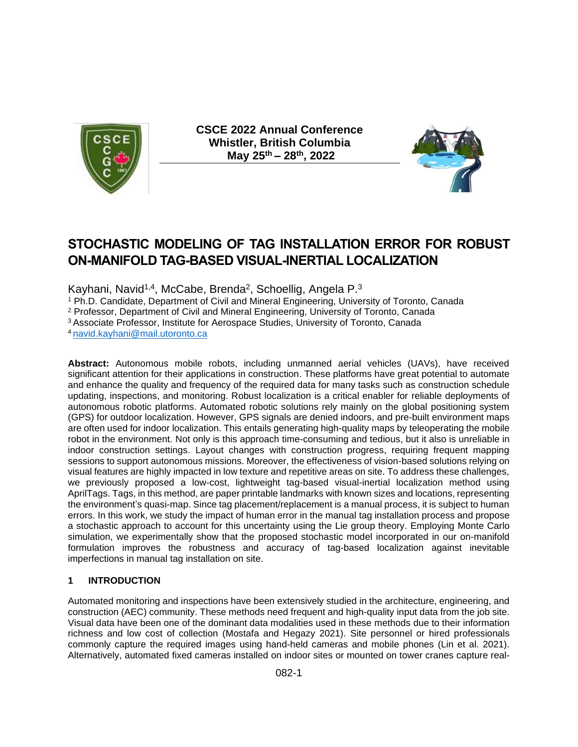

**CSCE 2022 Annual Conference Whistler, British Columbia May 25th – 28th, 2022** 



# **STOCHASTIC MODELING OF TAG INSTALLATION ERROR FOR ROBUST ON-MANIFOLD TAG-BASED VISUAL-INERTIAL LOCALIZATION**

Kayhani, Navid<sup>1,4</sup>, McCabe, Brenda<sup>2</sup>, Schoellig, Angela P.<sup>3</sup>

<sup>1</sup> Ph.D. Candidate, Department of Civil and Mineral Engineering, University of Toronto, Canada

<sup>2</sup> Professor, Department of Civil and Mineral Engineering, University of Toronto, Canada

<sup>3</sup> Associate Professor, Institute for Aerospace Studies, University of Toronto, Canada

<sup>4</sup>[navid.kayhani@mail.utoronto.ca](mailto:navid.kayhani@mail.utoronto.ca)

**Abstract:** Autonomous mobile robots, including unmanned aerial vehicles (UAVs), have received significant attention for their applications in construction. These platforms have great potential to automate and enhance the quality and frequency of the required data for many tasks such as construction schedule updating, inspections, and monitoring. Robust localization is a critical enabler for reliable deployments of autonomous robotic platforms. Automated robotic solutions rely mainly on the global positioning system (GPS) for outdoor localization. However, GPS signals are denied indoors, and pre-built environment maps are often used for indoor localization. This entails generating high-quality maps by teleoperating the mobile robot in the environment. Not only is this approach time-consuming and tedious, but it also is unreliable in indoor construction settings. Layout changes with construction progress, requiring frequent mapping sessions to support autonomous missions. Moreover, the effectiveness of vision-based solutions relying on visual features are highly impacted in low texture and repetitive areas on site. To address these challenges, we previously proposed a low-cost, lightweight tag-based visual-inertial localization method using AprilTags. Tags, in this method, are paper printable landmarks with known sizes and locations, representing the environment's quasi-map. Since tag placement/replacement is a manual process, it is subject to human errors. In this work, we study the impact of human error in the manual tag installation process and propose a stochastic approach to account for this uncertainty using the Lie group theory. Employing Monte Carlo simulation, we experimentally show that the proposed stochastic model incorporated in our on-manifold formulation improves the robustness and accuracy of tag-based localization against inevitable imperfections in manual tag installation on site.

## **1 INTRODUCTION**

Automated monitoring and inspections have been extensively studied in the architecture, engineering, and construction (AEC) community. These methods need frequent and high-quality input data from the job site. Visual data have been one of the dominant data modalities used in these methods due to their information richness and low cost of collection (Mostafa and Hegazy 2021). Site personnel or hired professionals commonly capture the required images using hand-held cameras and mobile phones (Lin et al. 2021). Alternatively, automated fixed cameras installed on indoor sites or mounted on tower cranes capture real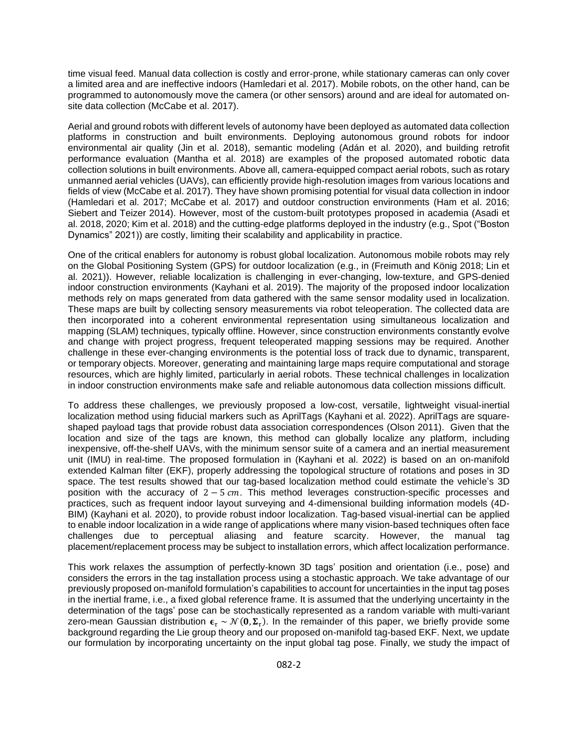time visual feed. Manual data collection is costly and error-prone, while stationary cameras can only cover a limited area and are ineffective indoors (Hamledari et al. 2017). Mobile robots, on the other hand, can be programmed to autonomously move the camera (or other sensors) around and are ideal for automated onsite data collection (McCabe et al. 2017).

Aerial and ground robots with different levels of autonomy have been deployed as automated data collection platforms in construction and built environments. Deploying autonomous ground robots for indoor environmental air quality (Jin et al. 2018), semantic modeling (Adán et al. 2020), and building retrofit performance evaluation (Mantha et al. 2018) are examples of the proposed automated robotic data collection solutions in built environments. Above all, camera-equipped compact aerial robots, such as rotary unmanned aerial vehicles (UAVs), can efficiently provide high-resolution images from various locations and fields of view (McCabe et al. 2017). They have shown promising potential for visual data collection in indoor (Hamledari et al. 2017; McCabe et al. 2017) and outdoor construction environments (Ham et al. 2016; Siebert and Teizer 2014). However, most of the custom-built prototypes proposed in academia (Asadi et al. 2018, 2020; Kim et al. 2018) and the cutting-edge platforms deployed in the industry (e.g., Spot ("Boston Dynamics" 2021)) are costly, limiting their scalability and applicability in practice.

One of the critical enablers for autonomy is robust global localization. Autonomous mobile robots may rely on the Global Positioning System (GPS) for outdoor localization (e.g., in (Freimuth and König 2018; Lin et al. 2021)). However, reliable localization is challenging in ever-changing, low-texture, and GPS-denied indoor construction environments (Kayhani et al. 2019). The majority of the proposed indoor localization methods rely on maps generated from data gathered with the same sensor modality used in localization. These maps are built by collecting sensory measurements via robot teleoperation. The collected data are then incorporated into a coherent environmental representation using simultaneous localization and mapping (SLAM) techniques, typically offline. However, since construction environments constantly evolve and change with project progress, frequent teleoperated mapping sessions may be required. Another challenge in these ever-changing environments is the potential loss of track due to dynamic, transparent, or temporary objects. Moreover, generating and maintaining large maps require computational and storage resources, which are highly limited, particularly in aerial robots. These technical challenges in localization in indoor construction environments make safe and reliable autonomous data collection missions difficult.

To address these challenges, we previously proposed a low-cost, versatile, lightweight visual-inertial localization method using fiducial markers such as AprilTags (Kayhani et al. 2022). AprilTags are squareshaped payload tags that provide robust data association correspondences (Olson 2011). Given that the location and size of the tags are known, this method can globally localize any platform, including inexpensive, off-the-shelf UAVs, with the minimum sensor suite of a camera and an inertial measurement unit (IMU) in real-time. The proposed formulation in (Kayhani et al. 2022) is based on an on-manifold extended Kalman filter (EKF), properly addressing the topological structure of rotations and poses in 3D space. The test results showed that our tag-based localization method could estimate the vehicle's 3D position with the accuracy of  $2 - 5$   $cm$ . This method leverages construction-specific processes and practices, such as frequent indoor layout surveying and 4-dimensional building information models (4D-BIM) (Kayhani et al. 2020), to provide robust indoor localization. Tag-based visual-inertial can be applied to enable indoor localization in a wide range of applications where many vision-based techniques often face challenges due to perceptual aliasing and feature scarcity. However, the manual tag placement/replacement process may be subject to installation errors, which affect localization performance.

This work relaxes the assumption of perfectly-known 3D tags' position and orientation (i.e., pose) and considers the errors in the tag installation process using a stochastic approach. We take advantage of our previously proposed on-manifold formulation's capabilities to account for uncertainties in the input tag poses in the inertial frame, i.e., a fixed global reference frame. It is assumed that the underlying uncertainty in the determination of the tags' pose can be stochastically represented as a random variable with multi-variant zero-mean Gaussian distribution  $\bm{\epsilon}_\tau \sim \mathcal{N}(\bm{0},\bm{\Sigma}_\tau).$  In the remainder of this paper, we briefly provide some background regarding the Lie group theory and our proposed on-manifold tag-based EKF. Next, we update our formulation by incorporating uncertainty on the input global tag pose. Finally, we study the impact of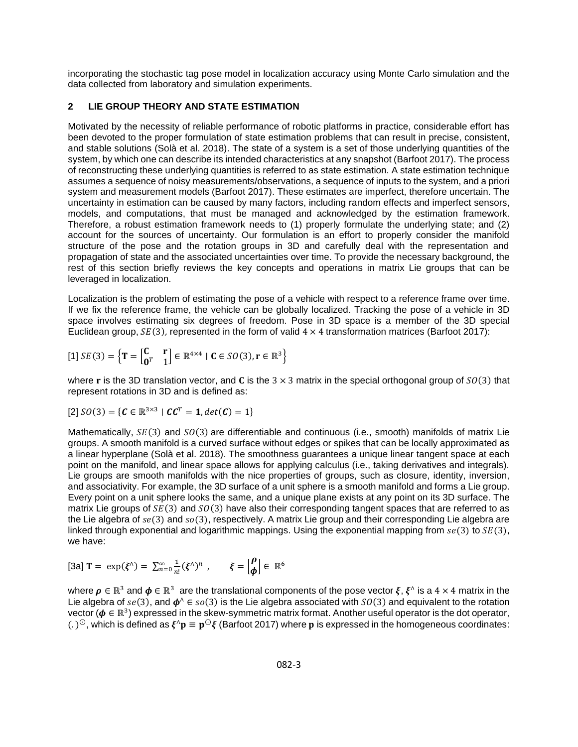incorporating the stochastic tag pose model in localization accuracy using Monte Carlo simulation and the data collected from laboratory and simulation experiments.

### **2 LIE GROUP THEORY AND STATE ESTIMATION**

Motivated by the necessity of reliable performance of robotic platforms in practice, considerable effort has been devoted to the proper formulation of state estimation problems that can result in precise, consistent, and stable solutions (Solà et al. 2018). The state of a system is a set of those underlying quantities of the system, by which one can describe its intended characteristics at any snapshot (Barfoot 2017). The process of reconstructing these underlying quantities is referred to as state estimation. A state estimation technique assumes a sequence of noisy measurements/observations, a sequence of inputs to the system, and a priori system and measurement models (Barfoot 2017). These estimates are imperfect, therefore uncertain. The uncertainty in estimation can be caused by many factors, including random effects and imperfect sensors, models, and computations, that must be managed and acknowledged by the estimation framework. Therefore, a robust estimation framework needs to (1) properly formulate the underlying state; and (2) account for the sources of uncertainty. Our formulation is an effort to properly consider the manifold structure of the pose and the rotation groups in 3D and carefully deal with the representation and propagation of state and the associated uncertainties over time. To provide the necessary background, the rest of this section briefly reviews the key concepts and operations in matrix Lie groups that can be leveraged in localization.

Localization is the problem of estimating the pose of a vehicle with respect to a reference frame over time. If we fix the reference frame, the vehicle can be globally localized. Tracking the pose of a vehicle in 3D space involves estimating six degrees of freedom. Pose in 3D space is a member of the 3D special Euclidean group,  $SE(3)$ , represented in the form of valid  $4 \times 4$  transformation matrices (Barfoot 2017):

[1] 
$$
SE(3) = \left\{ \mathbf{T} = \begin{bmatrix} \mathbf{C} & \mathbf{r} \\ \mathbf{0}^T & 1 \end{bmatrix} \in \mathbb{R}^{4 \times 4} \mid \mathbf{C} \in SO(3), \mathbf{r} \in \mathbb{R}^3 \right\}
$$

where r is the 3D translation vector, and C is the 3  $\times$  3 matrix in the special orthogonal group of  $SO(3)$  that represent rotations in 3D and is defined as:

[2] 
$$
SO(3) = {C \in \mathbb{R}^{3 \times 3} | CC^T = 1, det(C) = 1}
$$

Mathematically,  $SE(3)$  and  $SO(3)$  are differentiable and continuous (i.e., smooth) manifolds of matrix Lie groups. A smooth manifold is a curved surface without edges or spikes that can be locally approximated as a linear hyperplane (Solà et al. 2018). The smoothness guarantees a unique linear tangent space at each point on the manifold, and linear space allows for applying calculus (i.e., taking derivatives and integrals). Lie groups are smooth manifolds with the nice properties of groups, such as closure, identity, inversion, and associativity. For example, the 3D surface of a unit sphere is a smooth manifold and forms a Lie group. Every point on a unit sphere looks the same, and a unique plane exists at any point on its 3D surface. The matrix Lie groups of  $SE(3)$  and  $SO(3)$  have also their corresponding tangent spaces that are referred to as the Lie algebra of  $se(3)$  and  $so(3)$ , respectively. A matrix Lie group and their corresponding Lie algebra are linked through exponential and logarithmic mappings. Using the exponential mapping from  $se(3)$  to  $SE(3)$ , we have:

$$
\text{[3a] } \mathbf{T} = \exp(\xi^{\wedge}) = \sum_{n=0}^{\infty} \frac{1}{n!} (\xi^{\wedge})^n , \quad \xi = \begin{bmatrix} \rho \\ \phi \end{bmatrix} \in \mathbb{R}^6
$$

where  $\rho \in \mathbb{R}^3$  and  $\phi \in \mathbb{R}^3$  are the translational components of the pose vector ξ, ξ^ is a 4 × 4 matrix in the Lie algebra of  $se(3)$ , and  $\phi^{\wedge} \in so(3)$  is the Lie algebra associated with  $SO(3)$  and equivalent to the rotation vector ( $\phi \in \mathbb{R}^3$ ) expressed in the skew-symmetric matrix format. Another useful operator is the dot operator, (. )<sup>⊙</sup>, which is defined as  $\xi^\wedge {\bf p}\equiv {\bf p}^\odot \xi$  (Barfoot 2017) where  ${\bf p}$  is expressed in the homogeneous coordinates: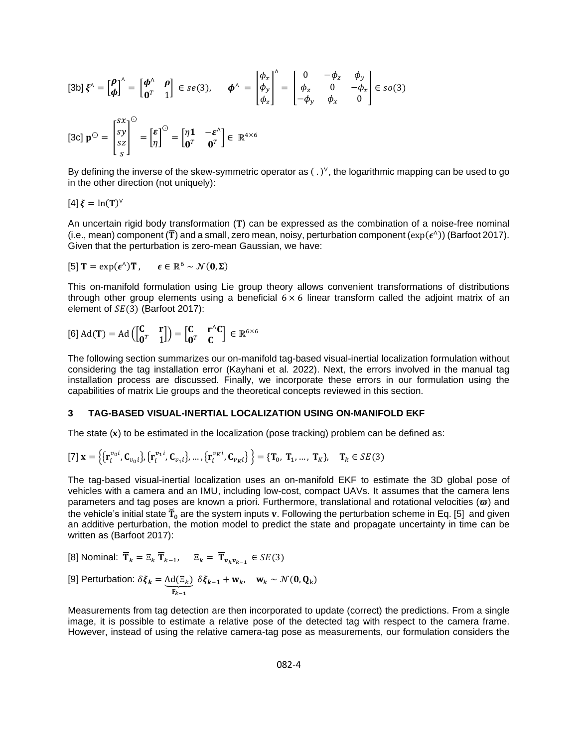$$
\begin{aligned}\n\text{[3b] } \xi^{\wedge} = \begin{bmatrix} \rho \\ \phi \end{bmatrix}^{\wedge} = \begin{bmatrix} \phi^{\wedge} & \rho \\ \mathbf{0}^T & 1 \end{bmatrix} \in se(3), \qquad \phi^{\wedge} = \begin{bmatrix} \phi_x \\ \phi_y \\ \phi_z \end{bmatrix}^{\wedge} = \begin{bmatrix} 0 & -\phi_z & \phi_y \\ \phi_z & 0 & -\phi_x \\ -\phi_y & \phi_x & 0 \end{bmatrix} \in so(3)\n\end{aligned}
$$
\n
$$
\begin{aligned}\n\text{[3c] } \mathbf{p}^{\odot} = \begin{bmatrix} s\mathbf{x} \\ s\mathbf{z} \end{bmatrix}^{\odot} = \begin{bmatrix} \mathbf{e} \\ \eta \end{bmatrix}^{\odot} = \begin{bmatrix} \eta \mathbf{1} & -\mathbf{\varepsilon}^{\wedge} \\ \mathbf{0}^T & \mathbf{0}^T \end{bmatrix} \in \mathbb{R}^{4 \times 6}\n\end{aligned}
$$

By defining the inverse of the skew-symmetric operator as  $(.)^{\vee}$ , the logarithmic mapping can be used to go in the other direction (not uniquely):

$$
[4]\,\xi=\ln(T)^{\vee}
$$

An uncertain rigid body transformation  $(T)$  can be expressed as the combination of a noise-free nominal (i.e., mean) component (T) and a small, zero mean, noisy, perturbation component ( $exp(\epsilon^{\wedge})$ ) (Barfoot 2017). Given that the perturbation is zero-mean Gaussian, we have:

<span id="page-3-0"></span>[5] 
$$
T = \exp(\epsilon^{\wedge})\overline{T}
$$
,  $\epsilon \in \mathbb{R}^6 \sim \mathcal{N}(0, \Sigma)$ 

This on-manifold formulation using Lie group theory allows convenient transformations of distributions through other group elements using a beneficial  $6 \times 6$  linear transform called the adjoint matrix of an element of  $SE(3)$  (Barfoot 2017):

$$
\text{[6] } \text{Ad}(\mathbf{T}) = \text{Ad}\left(\begin{bmatrix} \mathbf{C} & \mathbf{r} \\ \mathbf{0}^T & 1 \end{bmatrix}\right) = \begin{bmatrix} \mathbf{C} & \mathbf{r}^{\wedge}\mathbf{C} \\ \mathbf{0}^T & \mathbf{C} \end{bmatrix} \in \mathbb{R}^{6 \times 6}
$$

The following section summarizes our on-manifold tag-based visual-inertial localization formulation without considering the tag installation error (Kayhani et al. 2022). Next, the errors involved in the manual tag installation process are discussed. Finally, we incorporate these errors in our formulation using the capabilities of matrix Lie groups and the theoretical concepts reviewed in this section.

#### **3 TAG-BASED VISUAL-INERTIAL LOCALIZATION USING ON-MANIFOLD EKF**

The state  $(x)$  to be estimated in the localization (pose tracking) problem can be defined as:

$$
[7] \mathbf{x} = \left\{ \left\{ \mathbf{r}_i^{v_0 i}, \mathbf{C}_{v_0 i} \right\}, \left\{ \mathbf{r}_i^{v_1 i}, \mathbf{C}_{v_1 i} \right\}, \dots, \left\{ \mathbf{r}_i^{v_K i}, \mathbf{C}_{v_K i} \right\} \right\} = \left\{ \mathbf{T}_0, \mathbf{T}_1, \dots, \mathbf{T}_K \right\}, \quad \mathbf{T}_k \in SE(3)
$$

The tag-based visual-inertial localization uses an on-manifold EKF to estimate the 3D global pose of vehicles with a camera and an IMU, including low-cost, compact UAVs. It assumes that the camera lens parameters and tag poses are known a priori. Furthermore, translational and rotational velocities ( $\varpi$ ) and the vehicle's initial state  $\check{T}_0$  are the system inputs v. Following the perturbation scheme in Eq. [\[5\]](#page-3-0) and given an additive perturbation, the motion model to predict the state and propagate uncertainty in time can be written as (Barfoot 2017):

[8] Nominal: 
$$
\mathbf{T}_k = \mathbb{E}_k \mathbf{T}_{k-1}
$$
,  $\mathbb{E}_k = \mathbf{T}_{v_k v_{k-1}} \in SE(3)$ 

[9] Perturbation: 
$$
\delta \xi_k = \underbrace{Ad(\Xi_k)}_{F_{k-1}} \delta \xi_{k-1} + w_k, \quad w_k \sim \mathcal{N}(\mathbf{0}, \mathbf{Q}_k)
$$

Measurements from tag detection are then incorporated to update (correct) the predictions. From a single image, it is possible to estimate a relative pose of the detected tag with respect to the camera frame. However, instead of using the relative camera-tag pose as measurements, our formulation considers the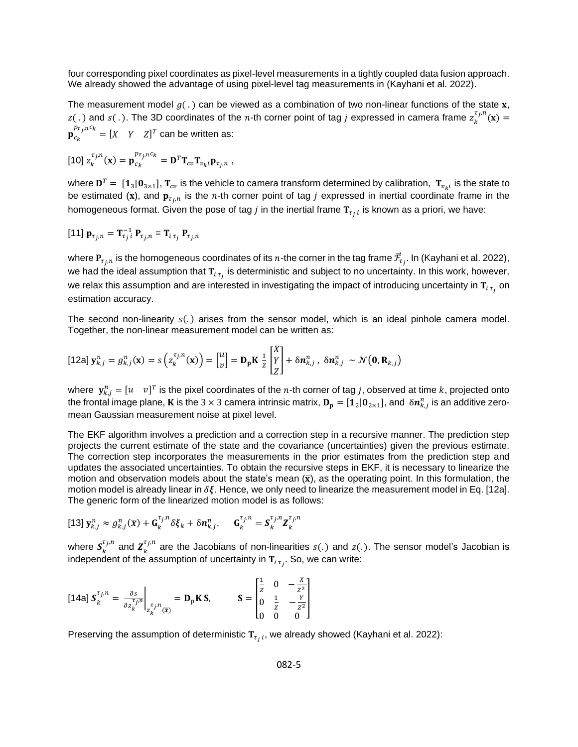four corresponding pixel coordinates as pixel-level measurements in a tightly coupled data fusion approach. We already showed the advantage of using pixel-level tag measurements in (Kayhani et al. 2022).

The measurement model  $g(.)$  can be viewed as a combination of two non-linear functions of the state x, z(.) and s(.). The 3D coordinates of the n-th corner point of tag *j* expressed in camera frame  $z_k^{\tau_j,n}(\mathbf{x}) =$  $p_{c_k}^{p_{\tau_j,n}c_k} = [X \quad Y \quad Z]^T$  can be written as:

<span id="page-4-1"></span>
$$
\left[\begin{smallmatrix}10\end{smallmatrix}\right]z_k^{\tau_j,n}(\mathbf{x})=\mathbf{p}_{c_k}^{p_{\tau_j,n}c_k}=\mathbf{D}^T\mathbf{T}_{cv}\mathbf{T}_{v_k i}\mathbf{p}_{\tau_j,n},
$$

where  ${\bf D}^T=[{\bf 1}_3|{\bf 0}_{3\times 1}]$ ,  ${\bf T}_{cv}$  is the vehicle to camera transform determined by calibration,  $\,{\bf T}_{v_ki}$  is the state to be estimated (x), and  ${\bf p}_{\tau_j,n}$  is the n-th corner point of tag *j* expressed in inertial coordinate frame in the homogeneous format. Given the pose of tag  $j$  in the inertial frame  $\mathbf{T}_{\tau_j\,i}$  is known as a priori, we have:

<span id="page-4-2"></span>
$$
[11] \mathbf{p}_{\tau_j,n} = \mathbf{T}_{\tau_j}^{-1} \mathbf{P}_{\tau_j,n} = \mathbf{T}_{i \tau_j} \mathbf{P}_{\tau_j,n}
$$

where  ${\bf P}_{\tau_j,n}$  is the homogeneous coordinates of its  $n$ -the corner in the tag frame  $\vec{\cal F}_{\tau_j}.$  In (Kayhani et al. 2022), we had the ideal assumption that  ${\tt T}_{i\,\tau_j}$  is deterministic and subject to no uncertainty. In this work, however, we relax this assumption and are interested in investigating the impact of introducing uncertainty in  ${\tt T}_{i\,\tau_j}$  on estimation accuracy.

The second non-linearity  $s(.)$  arises from the sensor model, which is an ideal pinhole camera model. Together, the non-linear measurement model can be written as:

<span id="page-4-0"></span>
$$
\text{[12a] } \mathbf{y}_{k,j}^n = g_{k,j}^n(\mathbf{x}) = s\left(z_k^{\tau_{j,n}}(\mathbf{x})\right) = \begin{bmatrix} u \\ v \end{bmatrix} = \mathbf{D}_p \mathbf{K} \frac{1}{z} \begin{bmatrix} X \\ Y \\ Z \end{bmatrix} + \delta \mathbf{n}_{k,j}^n \,, \ \delta \mathbf{n}_{k,j}^n \sim \mathcal{N}\big(\mathbf{0}, \mathbf{R}_{k,j}\big)
$$

where  $\mathbf{y}^n_{k,j} = [u \quad v]^T$  is the pixel coordinates of the  $n$ -th corner of tag  $j$ , observed at time  $k$ , projected onto the frontal image plane, **K** is the 3  $\times$  3 camera intrinsic matrix,  ${\bf D_p}=[{\bf 1}_2|{\bf 0}_{2\times 1}]$ , and  $~\delta n_{k,j}^n$  is an additive zeromean Gaussian measurement noise at pixel level.

The EKF algorithm involves a prediction and a correction step in a recursive manner. The prediction step projects the current estimate of the state and the covariance (uncertainties) given the previous estimate. The correction step incorporates the measurements in the prior estimates from the prediction step and updates the associated uncertainties. To obtain the recursive steps in EKF, it is necessary to linearize the motion and observation models about the state's mean  $(\bar{x})$ , as the operating point. In this formulation, the motion model is already linear in  $\delta \xi$ . Hence, we only need to linearize the measurement model in Eq. [\[12a\].](#page-4-0) The generic form of the linearized motion model is as follows:

$$
\text{[13] } \mathbf{y}_{k,j}^n \approx g_{k,j}^n(\overline{\mathbf{x}}) + \mathbf{G}_k^{\tau_j,n} \delta \xi_k + \delta \mathbf{n}_{k,j}^n, \quad \mathbf{G}_k^{\tau_j,n} = \mathbf{S}_k^{\tau_j,n} \mathbf{Z}_k^{\tau_j,n}
$$

where  $S_k^{\tau_j,n}$  and  $Z_k^{\tau_j,n}$  are the Jacobians of non-linearities  $s(.)$  and  $z(.)$ . The sensor model's Jacobian is independent of the assumption of uncertainty in  $\mathbf{T}_{i\,\,\tau_{f}}.$  So, we can write:

[14a] 
$$
S_k^{\tau_j, n} = \frac{\partial s}{\partial z_k^{\tau_j, n}}\Big|_{z_k^{\tau_j, n}(\overline{x})} = \mathbf{D}_p \mathbf{K} \mathbf{S}, \qquad \mathbf{S} = \begin{bmatrix} \frac{1}{z} & 0 & -\frac{x}{z^2} \\ 0 & \frac{1}{z} & -\frac{y}{z^2} \\ 0 & 0 & 0 \end{bmatrix}
$$

Preserving the assumption of deterministic  $\mathbf{T}_{\tau_j\,i}$ , we already showed (Kayhani et al. 2022):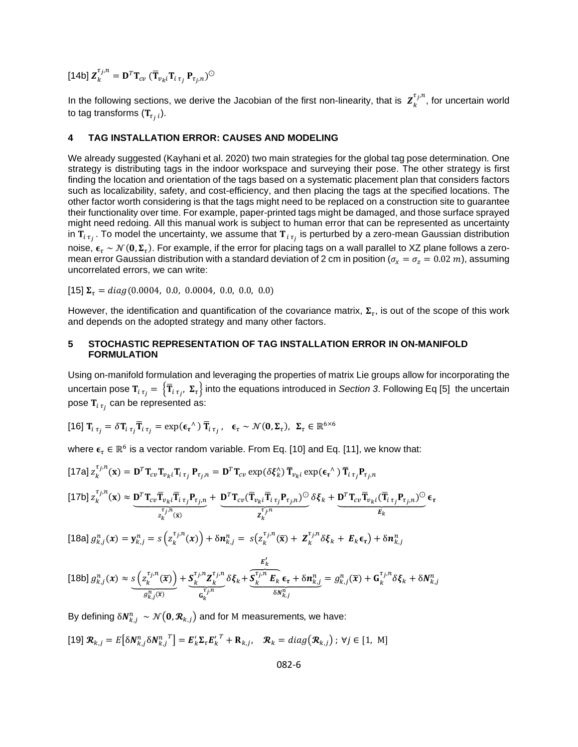[14b]  $\boldsymbol{Z}_k^{\tau_j,n} = \mathbf{D}^T \mathbf{T}_{cv}$   $(\overline{\mathbf{T}}_{v_k i} \mathbf{T}_{i \tau_j} \mathbf{P}_{\tau_j,n})^{\odot}$ 

In the following sections, we derive the Jacobian of the first non-linearity, that is  $\bm{Z}_k^{\tau_j,n}$ , for uncertain world to tag transforms ( $\boldsymbol{\mathrm{T}}_{\tau_{j}~i}$ ).

#### **4 TAG INSTALLATION ERROR: CAUSES AND MODELING**

We already suggested (Kayhani et al. 2020) two main strategies for the global tag pose determination. One strategy is distributing tags in the indoor workspace and surveying their pose. The other strategy is first finding the location and orientation of the tags based on a systematic placement plan that considers factors such as localizability, safety, and cost-efficiency, and then placing the tags at the specified locations. The other factor worth considering is that the tags might need to be replaced on a construction site to guarantee their functionality over time. For example, paper-printed tags might be damaged, and those surface sprayed might need redoing. All this manual work is subject to human error that can be represented as uncertainty in  ${\tt T}_{i\,\tau_j}$  . To model the uncertainty, we assume that  ${\tt T}_{i\,\tau_j}$  is perturbed by a zero-mean Gaussian distribution noise,  ${\bm \epsilon}_\tau \sim \mathcal{N}({\bf 0},\pmb{\Sigma}_\tau).$  For example, if the error for placing tags on a wall parallel to XZ plane follows a zeromean error Gaussian distribution with a standard deviation of 2 cm in position ( $\sigma_x = \sigma_z = 0.02$  m), assuming uncorrelated errors, we can write:

[15]  $\Sigma_{\tau} = diag(0.0004, 0.0, 0.0004, 0.0, 0.0, 0.0)$ 

However, the identification and quantification of the covariance matrix,  $\Sigma_{\tau}$ , is out of the scope of this work and depends on the adopted strategy and many other factors.

#### **5 STOCHASTIC REPRESENTATION OF TAG INSTALLATION ERROR IN ON-MANIFOLD FORMULATION**

Using on-manifold formulation and leveraging the properties of matrix Lie groups allow for incorporating the uncertain pose  ${\bf T}_{i\,\tau_j}=\left\{{\bf \overline{T}}_{i\,\tau_{j'}}\,\,\pmb{\Sigma}_{\tau}\right\}$  into the equations introduced in *Section 3.* Following Eq [\[5\]](#page-3-0) the uncertain pose  $\mathbf{T}_{i\;\tau_{j}}$  can be represented as:

<span id="page-5-0"></span>[16] 
$$
\mathbf{T}_{i \tau_j} = \delta \mathbf{T}_{i \tau_j} \overline{\mathbf{T}}_{i \tau_j} = \exp(\epsilon_{\tau}^{\ \wedge}) \overline{\mathbf{T}}_{i \tau_j}, \ \epsilon_{\tau} \sim \mathcal{N}(\mathbf{0}, \Sigma_{\tau}), \ \Sigma_{\tau} \in \mathbb{R}^{6 \times 6}
$$

where  $\bm{\epsilon}_{\tau} \in \mathbb{R}^6$  is a vector random variable. From Eq. [\[10\]](#page-4-1) and Eq. [\[11\],](#page-4-2) we know that:

[17a] 
$$
z_k^{\tau_j, n}(\mathbf{x}) = \mathbf{D}^T \mathbf{T}_{cv} \mathbf{T}_{v_k i} \mathbf{T}_{i \tau_j} \mathbf{P}_{\tau_j, n} = \mathbf{D}^T \mathbf{T}_{cv} \exp(\delta \xi_k) \overline{\mathbf{T}}_{v_k i} \exp(\epsilon_\tau \wedge) \overline{\mathbf{T}}_{i \tau_j} \mathbf{P}_{\tau_j, n}
$$

$$
\text{[17b]} \ z_k^{\tau_j, n}(\mathbf{x}) \approx \underbrace{\mathbf{D}^T \mathbf{T}_{cv} \overline{\mathbf{T}}_{v_{k}i} \overline{\mathbf{T}}_{i \tau_j} \mathbf{P}_{\tau_j, n}}_{z_k^{\tau_j, n}} + \underbrace{\mathbf{D}^T \mathbf{T}_{cv} (\overline{\mathbf{T}}_{v_{k}i} \overline{\mathbf{T}}_{i \tau_j} \mathbf{P}_{\tau_j, n})^{\odot}}_{\mathbf{z}_k^{\tau_j, n}} \delta \xi_k + \underbrace{\mathbf{D}^T \mathbf{T}_{cv} \overline{\mathbf{T}}_{v_{k}i} (\overline{\mathbf{T}}_{i \tau_j} \mathbf{P}_{\tau_j, n})^{\odot}}_{E_k} \epsilon_{\tau}
$$

[18a]  $g_{k,j}^n(x) = y_{k,j}^n = s\left(z_k^{\tau_{j,n}}(x)\right) + \delta n_{k,j}^n = s\left(z_k^{\tau_{j,n}}(\bar{x}) + \mathbf{Z}_k^{\tau_{j,n}}\delta \xi_k + \mathbf{E}_k \boldsymbol{\epsilon}_{\tau}\right) + \delta n_{k,j}^n$ 

$$
\text{[18b] } g_{k,j}^n(x) \approx \underbrace{s\left(z_k^{\tau_j, n}(\overline{x})\right)}_{g_{k,j}^n(\overline{x})} + \underbrace{s_k^{\tau_j, n} \mathbf{Z}_k^{\tau_j, n}}_{\mathbf{G}_k^{\tau_j, n}} \delta \xi_k + \underbrace{\overbrace{s_k^{\tau_j, n} \mathbf{E}_k}_{\delta N_{k,j}^n}}_{\delta N_{k,j}^n} \epsilon_{\tau} + \delta n_{k,j}^n = g_{k,j}^n(\overline{x}) + \mathbf{G}_k^{\tau_j, n} \delta \xi_k + \delta N_{k,j}^n
$$

By defining  $\delta\pmb{N}_{k,j}^n\,\sim \, \mathcal{N}\big(\pmb{0},\pmb{\mathcal{R}}_{k,j}\big)$  and for M measurements, we have:

$$
[19] \mathbf{R}_{k,j} = E\big[\delta N_{k,j}^n \delta N_{k,j}^n \big]^T = \mathbf{E}_k' \mathbf{\Sigma}_{\tau} \mathbf{E}_k'^T + \mathbf{R}_{k,j}, \quad \mathbf{\mathcal{R}}_k = diag(\mathbf{\mathcal{R}}_{k,j}); \ \forall j \in [1, \ \mathbf{M}]
$$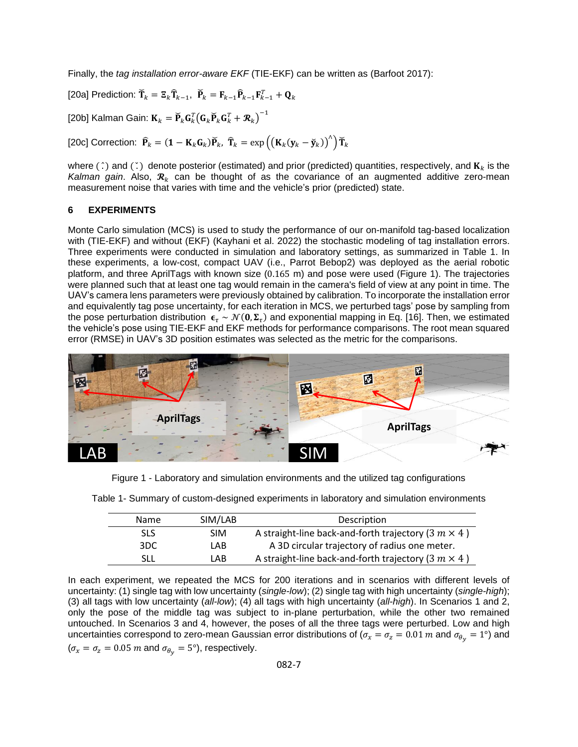Finally, the *tag installation error-aware EKF* (TIE-EKF) can be written as (Barfoot 2017):

[20a] Prediction:  $\breve{\mathbf{T}}_k = \mathbf{\Xi}_k \widehat{\mathbf{T}}_{k-1}, \ \ \breve{\mathbf{P}}_k = \mathbf{F}_{k-1} \widehat{\mathbf{P}}_{k-1} \mathbf{F}_{k-1}^T + \mathbf{Q}_k$ 

[20b] Kalman Gain:  $\mathbf{K}_k = \widecheck{\mathbf{P}}_k\mathbf{G}_k^T\big(\mathbf{G}_k\widecheck{\mathbf{P}}_k\mathbf{G}_k^T + \boldsymbol{\mathcal{R}}_k\big)^{-1}$ 

[20c] Correction:  $\widehat{\mathbf{P}}_k = (\mathbf{1} - \mathbf{K}_k \mathbf{G}_k) \widecheck{\mathbf{P}}_k$ ,  $\widehat{\mathbf{T}}_k = \exp\left(\left(\mathbf{K}_k(\mathbf{y}_k - \widecheck{\mathbf{y}}_k)\right)^\wedge\right) \widecheck{\mathbf{T}}_k$ 

where ( $\hat{ }$ ) and ( $\hat{ }$ ) denote posterior (estimated) and prior (predicted) quantities, respectively, and  $\mathbf{K}_k$  is the Kalman gain. Also,  $\mathcal{R}_k$  can be thought of as the covariance of an augmented additive zero-mean measurement noise that varies with time and the vehicle's prior (predicted) state.

#### **6 EXPERIMENTS**

Monte Carlo simulation (MCS) is used to study the performance of our on-manifold tag-based localization with (TIE-EKF) and without (EKF) (Kayhani et al. 2022) the stochastic modeling of tag installation errors. Three experiments were conducted in simulation and laboratory settings, as summarized in [Table 1.](#page-6-0) In these experiments, a low-cost, compact UAV (i.e., Parrot Bebop2) was deployed as the aerial robotic platform, and three AprilTags with known size (0.165 m) and pose were used [\(Figure 1\)](#page-6-1). The trajectories were planned such that at least one tag would remain in the camera's field of view at any point in time. The UAV's camera lens parameters were previously obtained by calibration. To incorporate the installation error and equivalently tag pose uncertainty, for each iteration in MCS, we perturbed tags' pose by sampling from the pose perturbation distribution  $\bm{\epsilon}_\tau \sim \mathcal{N}(\bm{0},\bm{\Sigma}_\tau)$  and exponential mapping in Eq. [\[16\].](#page-5-0) Then, we estimated the vehicle's pose using TIE-EKF and EKF methods for performance comparisons. The root mean squared error (RMSE) in UAV's 3D position estimates was selected as the metric for the comparisons.



Figure 1 - Laboratory and simulation environments and the utilized tag configurations

| <b>Name</b> | SIM/LAB    | Description                                                 |
|-------------|------------|-------------------------------------------------------------|
| <b>SLS</b>  | <b>SIM</b> | A straight-line back-and-forth trajectory (3 $m \times 4$ ) |
| 3DC.        | LAB.       | A 3D circular trajectory of radius one meter.               |
| SLL         | LAB.       | A straight-line back-and-forth trajectory (3 $m \times 4$ ) |

<span id="page-6-1"></span><span id="page-6-0"></span>Table 1- Summary of custom-designed experiments in laboratory and simulation environments

In each experiment, we repeated the MCS for 200 iterations and in scenarios with different levels of uncertainty: (1) single tag with low uncertainty (*single-low*); (2) single tag with high uncertainty (*single-high*); (3) all tags with low uncertainty (*all-low*); (4) all tags with high uncertainty (*all-high*). In Scenarios 1 and 2, only the pose of the middle tag was subject to in-plane perturbation, while the other two remained untouched. In Scenarios 3 and 4, however, the poses of all the three tags were perturbed. Low and high uncertainties correspond to zero-mean Gaussian error distributions of ( $\sigma_x = \sigma_z = 0.01$  m and  $\sigma_{\theta_y} = 1^{\circ}$ ) and  $(\sigma_x = \sigma_z = 0.05 \ m \text{ and } \sigma_{\theta_y} = 5^{\circ})$ , respectively.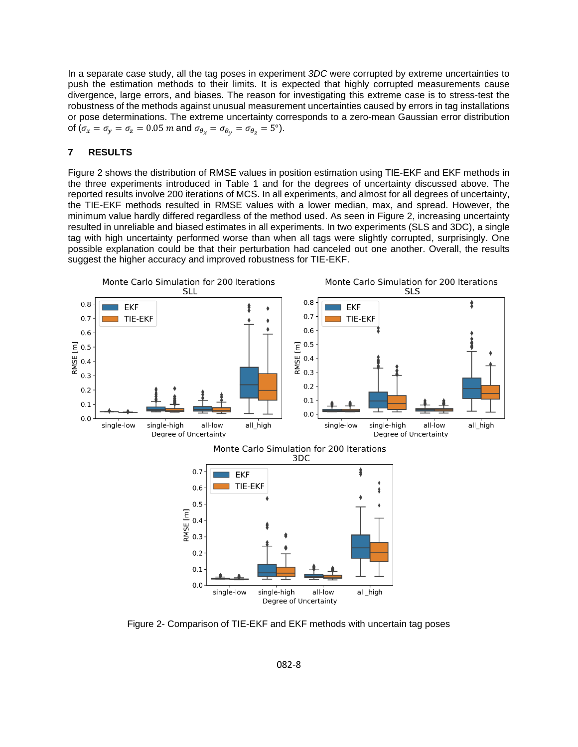In a separate case study, all the tag poses in experiment *3DC* were corrupted by extreme uncertainties to push the estimation methods to their limits. It is expected that highly corrupted measurements cause divergence, large errors, and biases. The reason for investigating this extreme case is to stress-test the robustness of the methods against unusual measurement uncertainties caused by errors in tag installations or pose determinations. The extreme uncertainty corresponds to a zero-mean Gaussian error distribution of ( $\sigma_x = \sigma_y = \sigma_z = 0.05$  *m* and  $\sigma_{\theta_x} = \sigma_{\theta_y} = \sigma_{\theta_z} = 5^{\circ}$ ).

#### **7 RESULTS**

[Figure 2](#page-7-0) shows the distribution of RMSE values in position estimation using TIE-EKF and EKF methods in the three experiments introduced in Table 1 and for the degrees of uncertainty discussed above. The reported results involve 200 iterations of MCS. In all experiments, and almost for all degrees of uncertainty, the TIE-EKF methods resulted in RMSE values with a lower median, max, and spread. However, the minimum value hardly differed regardless of the method used. As seen in [Figure 2,](#page-7-0) increasing uncertainty resulted in unreliable and biased estimates in all experiments. In two experiments (SLS and 3DC), a single tag with high uncertainty performed worse than when all tags were slightly corrupted, surprisingly. One possible explanation could be that their perturbation had canceled out one another. Overall, the results suggest the higher accuracy and improved robustness for TIE-EKF.



<span id="page-7-0"></span>Figure 2- Comparison of TIE-EKF and EKF methods with uncertain tag poses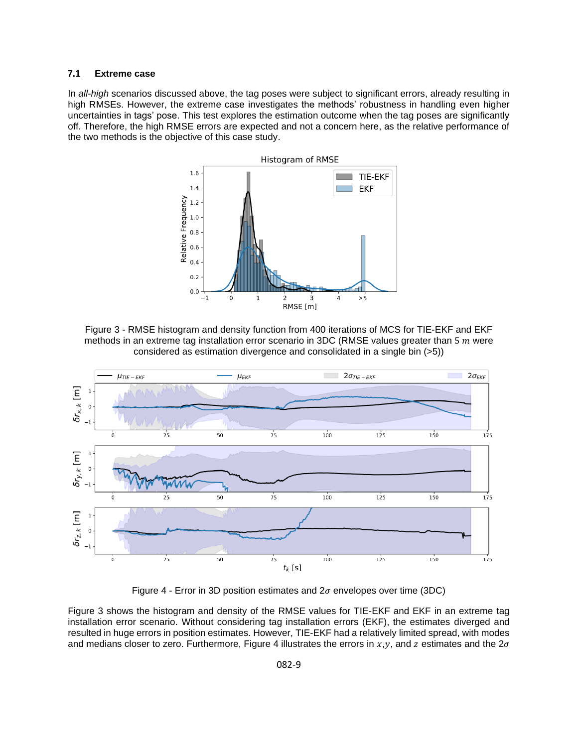#### **7.1 Extreme case**

In *all-high* scenarios discussed above, the tag poses were subject to significant errors, already resulting in high RMSEs. However, the extreme case investigates the methods' robustness in handling even higher uncertainties in tags' pose. This test explores the estimation outcome when the tag poses are significantly off. Therefore, the high RMSE errors are expected and not a concern here, as the relative performance of the two methods is the objective of this case study.



<span id="page-8-0"></span>Figure 3 - RMSE histogram and density function from 400 iterations of MCS for TIE-EKF and EKF methods in an extreme tag installation error scenario in  $3DC$  (RMSE values greater than 5  $m$  were considered as estimation divergence and consolidated in a single bin (>5))



Figure 4 - Error in 3D position estimates and  $2\sigma$  envelopes over time (3DC)

<span id="page-8-1"></span>[Figure 3](#page-8-0) shows the histogram and density of the RMSE values for TIE-EKF and EKF in an extreme tag installation error scenario. Without considering tag installation errors (EKF), the estimates diverged and resulted in huge errors in position estimates. However, TIE-EKF had a relatively limited spread, with modes and medians closer to zero. Furthermore, [Figure 4](#page-8-1) illustrates the errors in  $x, y$ , and z estimates and the  $2\sigma$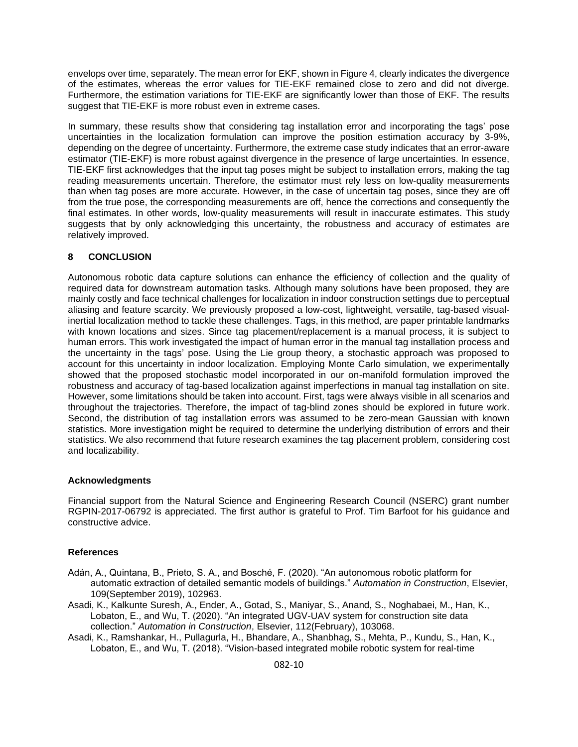envelops over time, separately. The mean error for EKF, shown in [Figure 4,](#page-8-1) clearly indicates the divergence of the estimates, whereas the error values for TIE-EKF remained close to zero and did not diverge. Furthermore, the estimation variations for TIE-EKF are significantly lower than those of EKF. The results suggest that TIE-EKF is more robust even in extreme cases.

In summary, these results show that considering tag installation error and incorporating the tags' pose uncertainties in the localization formulation can improve the position estimation accuracy by 3-9%, depending on the degree of uncertainty. Furthermore, the extreme case study indicates that an error-aware estimator (TIE-EKF) is more robust against divergence in the presence of large uncertainties. In essence, TIE-EKF first acknowledges that the input tag poses might be subject to installation errors, making the tag reading measurements uncertain. Therefore, the estimator must rely less on low-quality measurements than when tag poses are more accurate. However, in the case of uncertain tag poses, since they are off from the true pose, the corresponding measurements are off, hence the corrections and consequently the final estimates. In other words, low-quality measurements will result in inaccurate estimates. This study suggests that by only acknowledging this uncertainty, the robustness and accuracy of estimates are relatively improved.

## **8 CONCLUSION**

Autonomous robotic data capture solutions can enhance the efficiency of collection and the quality of required data for downstream automation tasks. Although many solutions have been proposed, they are mainly costly and face technical challenges for localization in indoor construction settings due to perceptual aliasing and feature scarcity. We previously proposed a low-cost, lightweight, versatile, tag-based visualinertial localization method to tackle these challenges. Tags, in this method, are paper printable landmarks with known locations and sizes. Since tag placement/replacement is a manual process, it is subject to human errors. This work investigated the impact of human error in the manual tag installation process and the uncertainty in the tags' pose. Using the Lie group theory, a stochastic approach was proposed to account for this uncertainty in indoor localization. Employing Monte Carlo simulation, we experimentally showed that the proposed stochastic model incorporated in our on-manifold formulation improved the robustness and accuracy of tag-based localization against imperfections in manual tag installation on site. However, some limitations should be taken into account. First, tags were always visible in all scenarios and throughout the trajectories. Therefore, the impact of tag-blind zones should be explored in future work. Second, the distribution of tag installation errors was assumed to be zero-mean Gaussian with known statistics. More investigation might be required to determine the underlying distribution of errors and their statistics. We also recommend that future research examines the tag placement problem, considering cost and localizability.

## **Acknowledgments**

Financial support from the Natural Science and Engineering Research Council (NSERC) grant number RGPIN-2017-06792 is appreciated. The first author is grateful to Prof. Tim Barfoot for his guidance and constructive advice.

## **References**

- Adán, A., Quintana, B., Prieto, S. A., and Bosché, F. (2020). "An autonomous robotic platform for automatic extraction of detailed semantic models of buildings." *Automation in Construction*, Elsevier, 109(September 2019), 102963.
- Asadi, K., Kalkunte Suresh, A., Ender, A., Gotad, S., Maniyar, S., Anand, S., Noghabaei, M., Han, K., Lobaton, E., and Wu, T. (2020). "An integrated UGV-UAV system for construction site data collection." *Automation in Construction*, Elsevier, 112(February), 103068.
- Asadi, K., Ramshankar, H., Pullagurla, H., Bhandare, A., Shanbhag, S., Mehta, P., Kundu, S., Han, K., Lobaton, E., and Wu, T. (2018). "Vision-based integrated mobile robotic system for real-time